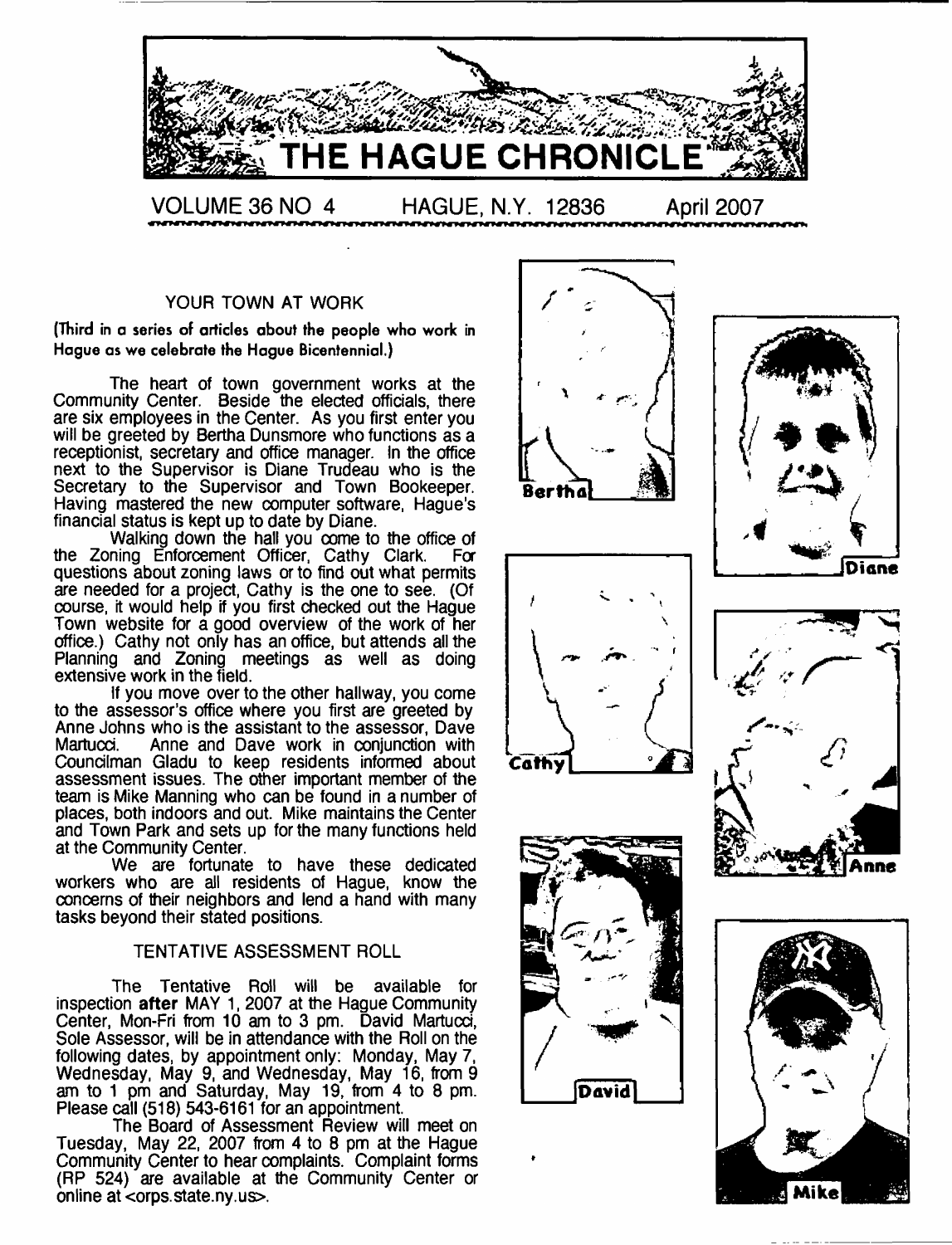

#### YOUR TOWN AT WORK

(Third in a series of articles about the people who work in Hague as we celebrate the Hague Bicentennial.)

The heart of town government works at the Community Center. Beside the elected officials, there are six employees in the Center. As you first enter you will be greeted by Bertha Dunsmore who functions as a receptionist, secretary and office manager. In the office next to the Supervisor is Diane Trudeau who is the Secretary to the Supervisor and Town Bookeeper. Having mastered the new computer software, Hague's financial status is kept up to date by Diane.

Walking down the hall you come to the office of the Zoning Enforcement Officer, Cathy Clark. For questions about zoning laws or to find out what permits are needed for a project, Cathy is the one to see. (Of course, it would help if you first checked out the Hague Town website for a good overview of the work of her office.) Cathy not only has an office, but attends all the Planning and Zoning meetings as well as doing extensive work in the field.

If you move over to the other hallway, you come to the assessor's office where you first are greeted by Anne Johns who is the assistant to the assessor, Dave Anne and Dave work in conjunction with Councilman Gladu to keep residents informed about assessment issues. The other important member of the team is Mike Manning who can be found in a number of places, both indoors and out. Mike maintains the Center and Town Park and sets up for the many functions held at the Community Center.

We are fortunate to have these dedicated workers who are all residents of Hague, know the concerns of their neighbors and lend a hand with many tasks beyond their stated positions.

#### TENTATIVE ASSESSMENT ROLL

The Tentative Roll will be available for inspection after MAY 1, 2007 at the Hague Community Center, Mon-Fri from 10 am to 3 pm. David Martucd, Sole Assessor, will be in attendance with the Roll on the following dates, by appointment only: Monday, May 7, Wednesday, May 9, and Wednesday, May 16, from 9 am to 1 pm and Saturday, May 19, from 4 to 8 pm. Please call (518) 543-6161 for an appointment.

The Board of Assessment Review will meet on Tuesday, May 22, 2007 from 4 to 8 pm at the Hague Community Center to hear complaints. Complaint forms (RP 524) are available at the Community Center or online at <orps.state.ny.us>.











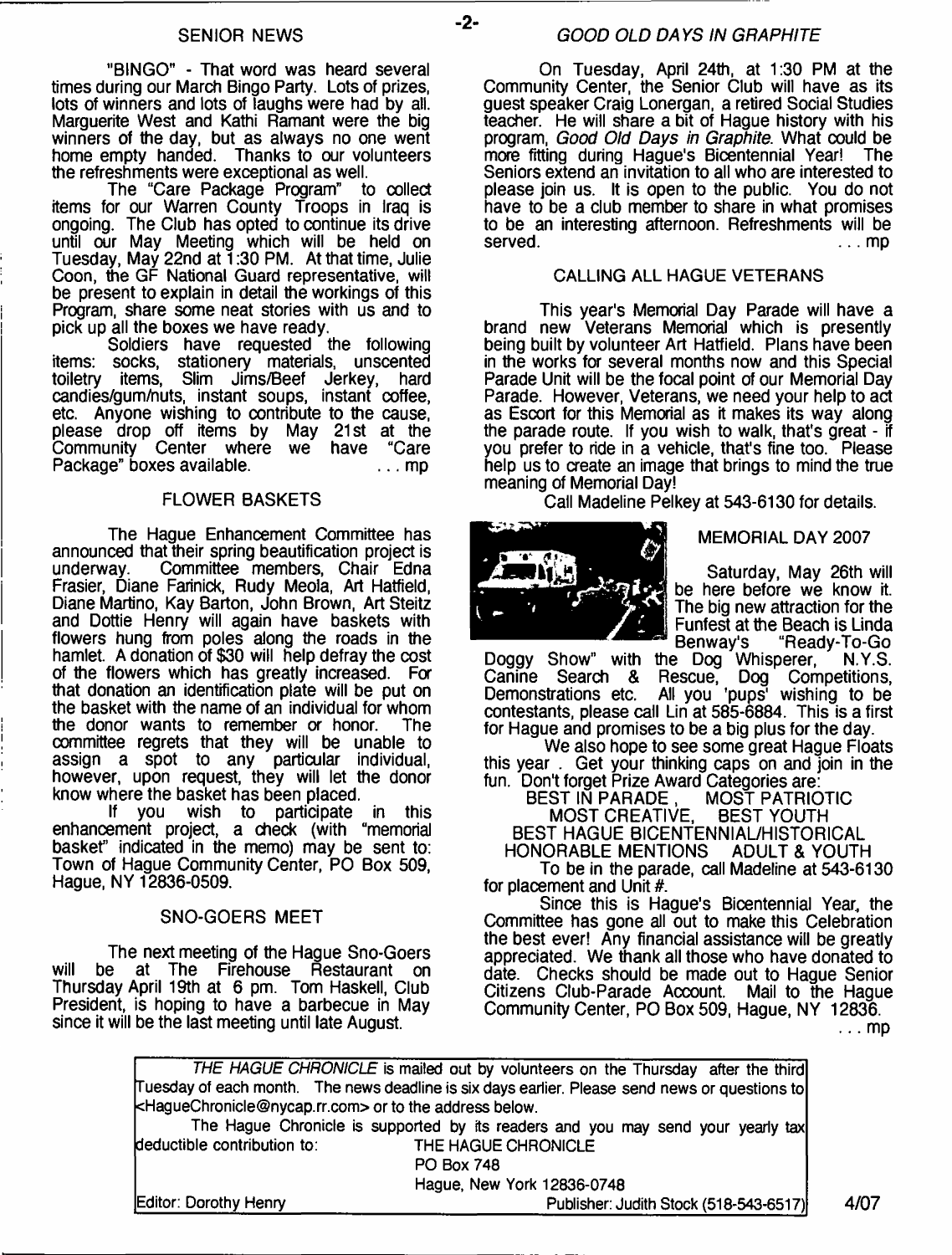"BINGO" - That word was heard several times during our March Bingo Party. Lots of prizes, lots of winners and lots of laughs were had by all. Marguerite West and Kathi Ramant were the big winners of the day, but as always no one went home empty handed. Thanks to our volunteers the refreshments were exceptional as well.

The "Care Package Program" to collect items for our Warren County Troops in Iraq is ongoing. The Club has opted to continue its drive until our May Meeting which will be held on Tuesday, May 22nd at 1:30 PM. At that time, Julie Coon, the GF National Guard representative, will be present to explain in detail the workings of this Program, share some neat stories with us and to pick up all the boxes we have ready.

Soldiers have requested the following items: socks, stationery materials, unscented Slim Jims/Beef Jerkey, candies/gum/huts, instant soups, instant coffee, etc. Anyone wishing to contribute to the cause, please drop off items by May 21st at the<br>Community Center where we have "Care Community Center where we have Package" boxes available. ... ... ... ... mp

#### FLOWER BASKETS

The Hague Enhancement Committee has announced that their spring beautification project is underway. Committee members, Chair Edna Frasier, Diane Farinick, Rudy Meola, Art Hatfield, Diane Martino, Kay Barton, John Brown, Art Steitz and Dottie Henry will again have baskets with flowers hung from poles along the roads in the hamlet. A donation of \$30 will help defray the cost of the flowers which has greatly increased. For that donation an identification plate will be put on the basket with the name of an individual for whom the donor wants to remember or honor. The committee regrets that they will be unable to assign a spot to any particular individual, however, upon request, they will let the donor know where the basket has been placed.<br>If you wish to participate

If you wish to participate in this enhancement project, a check (with "memorial basket" indicated in the memo) may be sent to: Town of Hague Community Center, PO Box 509, Hague, NY 12836-0509.

#### SNO-GOERS MEET

The next meeting of the Hague Sno-Goers will be at The Firehouse Restaurant on Thursday April 19th at 6 pm. Tom Haskell, Club President, is hoping to have a barbecue in May since it will be the last meeting until late August.

#### *GOOD OLD DAYS IN GRAPHITE*

On Tuesday, April 24th, at 1:30 PM at the Community Center, the Senior Club will have as its guest speaker Craig Lonergan, a retired Social Studies teacher. He will share a bit of Hague history with his program, *Good Old Days in Graphite.* What could be more fitting during Hague's Bicentennial Year! Seniors extend an invitation to all who are interested to please join us. It is open to the public. You do not have to be a club member to share in what promises to be an interesting afternoon. Refreshments will be served. ... mp

#### CALLING ALL HAGUE VETERANS

This year's Memorial Day Parade will have a brand new Veterans Memorial which is presently being built by volunteer Art Hatfield. Plans have been in the works for several months now and this Special Parade Unit will be the focal point of our Memorial Day Parade. However, Veterans, we need your help to act as Escort for this Memorial as it makes its way along the parade route. If you wish to walk, that's great - if you prefer to ride in a vehicle, that's fine too. Please help us to create an image that brings to mind the true meaning of Memorial Day!

Call Madeline Pelkey at 543-6130 for details.



#### MEMORIAL DAY 2007

Saturday, May 26th will be here before we know it. The big new attraction for the Funfest at the Beach is Linda Benway's "Ready-To-Go

Doggy Show" with the Dog Whisperer, N.Y.S. Canine Search & Rescue, Dog Competitions, Demonstrations etc. All you 'pups' wishing to be contestants, please call Lin at 585-6884. This is a first for Hague and promises to be a big plus for the day.

We also hope to see some great Hague Floats this year . Get your thinking caps on and join in the fun. Don't forget Prize Award Categories are:

MOST PATRIOTIC<br>BEST YOUTH MOST CREATIVE, BEST HAGUE BICENTENNIAL/HISTORICAL

HONORABLE MENTIONS ADULT & YOUTH To be in the parade, call Madeline at 543-6130 for placement and Unit #.

Since this is Hague's Bicentennial Year, the Committee has gone all out to make this Celebration the best ever! Any financial assistance will be greatly appreciated. We thank all those who have donated to date. Checks should be made out to Hague Senior<br>Citizens Club-Parade Account. Mail to the Hague Citizens Club-Parade Account. Community Center, PO Box 509, Hague, NY 12836.

... mp

| <haguechronicle@nycap.rr.com> or to the address below.</haguechronicle@nycap.rr.com> | Tuesday of each month. The news deadline is six days earlier. Please send news or questions to |
|--------------------------------------------------------------------------------------|------------------------------------------------------------------------------------------------|
|                                                                                      |                                                                                                |
|                                                                                      | The Hague Chronicle is supported by its readers and you may send your yearly tax               |
| deductible contribution to:                                                          | THE HAGUE CHRONICLE                                                                            |
|                                                                                      | <b>PO Box 748</b>                                                                              |
|                                                                                      | Hague, New York 12836-0748                                                                     |
| Editor: Dorothy Henry                                                                | Publisher: Judith Stock (518-543-6517)                                                         |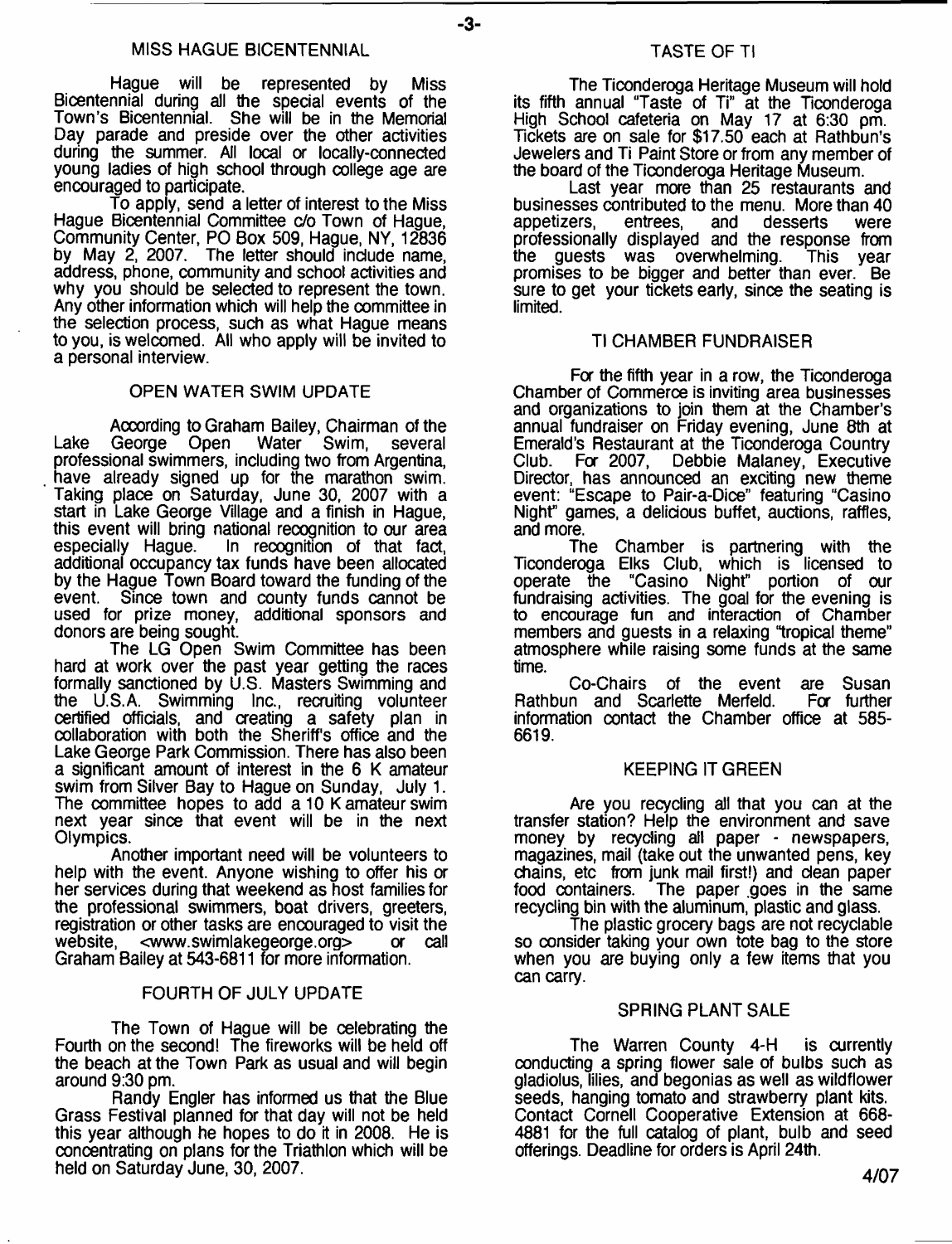-3-

Hague will be represented by Miss Bicentennial during all the special events of the Town's Bicentennial. She will be in the Memorial Day parade and preside over the other activities during the summer All local or locally-connected young ladies of high school through college age are encouraged to participate.

To apply, send a letter of interest to the Miss Hague Bicentennial Committee c/o Town of Hague, Community Center, PO Box 509, Hague, NY, 12836 by May 2, 2007. The letter should include name, address, phone, community and school activities and why you should be selected to represent the town. Any other information which will help the committee in the selection process, such as what Hague means to you, is welcomed. All who apply will be invited to a personal interview.

#### OPEN WATER SWIM UPDATE

According to Graham Bailey, Chairman of the<br>George Open Water Swim, several Lake George Open Water Swim, several professional swimmers, including two from Argentina, have already signed up for the marathon swim. Taking place on Saturday, June 30, 2007 with a start in Lake George Village and a finish in Hague, this event will bring national recognition to our area especially Hague. In recognition of that fact, additional occupancy tax funds have been allocated by the Hague Town Board toward the funding of the event. Since town and county funds cannot be used for prize money, additional sponsors and donors are being sought.

The LG Open Swim Committee has been hard at work over the past year getting the races formally sanctioned by U.S. Masters Swimming and the U.S.A. Swimming Inc., recruiting volunteer certified officials, and creating a safety plan in collaboration with both the Sheriff's office and the Lake George Park Commission. There has also been a significant amount of interest in the 6 K amateur swim from Silver Bay to Hague on Sunday, July 1. The committee hopes to add a 10 K amateur swim next year since that event will be in the next Olympics.

Another important need will be volunteers to help with the event. Anyone wishing to offer his or her services during that weekend as host families for the professional swimmers, boat drivers, greeters, registration or other tasks are encouraged to visit the website, [<www.swimlakegeorge.org](http://www.swimlakegeorge.org)> or call Graham Bailey at 543-6811 for more information.

#### FOURTH OF JULY UPDATE

The Town of Hague will be celebrating the Fourth on the second! The fireworks will be held off the beach at the Town Park as usual and will begin around 9:30 pm.

Randy Engler has informed us that the Blue Grass Festival planned for that day will not be held this year although he hopes to do it in 2008. He is concentrating on plans for the Triathlon which will be held on Saturday June, 30, 2007.

The Ticonderoga Heritage Museum will hold its fifth annual "Taste of Ti" at the Ticonderoga High School cafeteria on May 17 at 6:30 pm. Tickets are on sale for \$17.50 each at Rathbun's Jewelers and Ti Paint Store or from any member of the board of the Ticonderoga Heritage Museum.

Last year more than 25 restaurants and businesses contributed to the menu. More than 40 appetizers. entrees. and desserts were appetizers, entrees, and desserts were professionally displayed and the response from the guests was overwhelming. This year promises to be bigger and better than ever. Be sure to get your tickets early, since the seating is limited.

#### TI CHAMBER FUNDRAISER

Fa the fifth year in a row, the Ticonderoga Chamber of Commerce is inviting area businesses and organizations to join them at the Chamber's annual fundraiser on Friday evening, June 8th at Emerald's Restaurant at the Ticonderoga Country<br>Club. For 2007, Debbie Malaney, Executive Club. Fa 2007, Debbie Malaney, Executive Director, has announced an exciting new theme event: "Escape to Pair-a-Dice" featuring "Casino Night" games, a delicious buffet, auctions, raffles, and more.

The Chamber is partnering with the Ticonderoga Elks Club, which is licensed to operate the "Casino Night" portion of our fundraising activities. The goal for the evening is to encourage fun and interaction of Chamber members and guests in a relaxing "tropical theme" atmosphere while raising some funds at the same time.

Co-Chairs of the event are Susan Rathbun and Scarlette Merfeld. For further information contact the Chamber office at 585- 6619.

#### KEEPING IT GREEN

Are you recycling all that you can at the transfer station? Help the environment and save money by recycling all paper - newspapers, magazines, mail (take out the unwanted pens, key chains, etc from junk mail first!) and dean paper food containers. The paper goes in the same recyding bin with the aluminum, plastic and glass.

The plastic grocery bags are not recyclable so consider taking your own tote bag to the store when you are buying only a few items that you can carry.

#### SPRING PLANT SALE

The Warren County 4-H is currently conducting a spring flower sale of bulbs such as gladiolus, lilies, and begonias as well as wildflower seeds, hanging tomato and strawberry plant kits. Contact Cornell Cooperative Extension at 668- 4881 for the full catalog of plant, bulb and seed offerings. Deadline for orders is April 24th.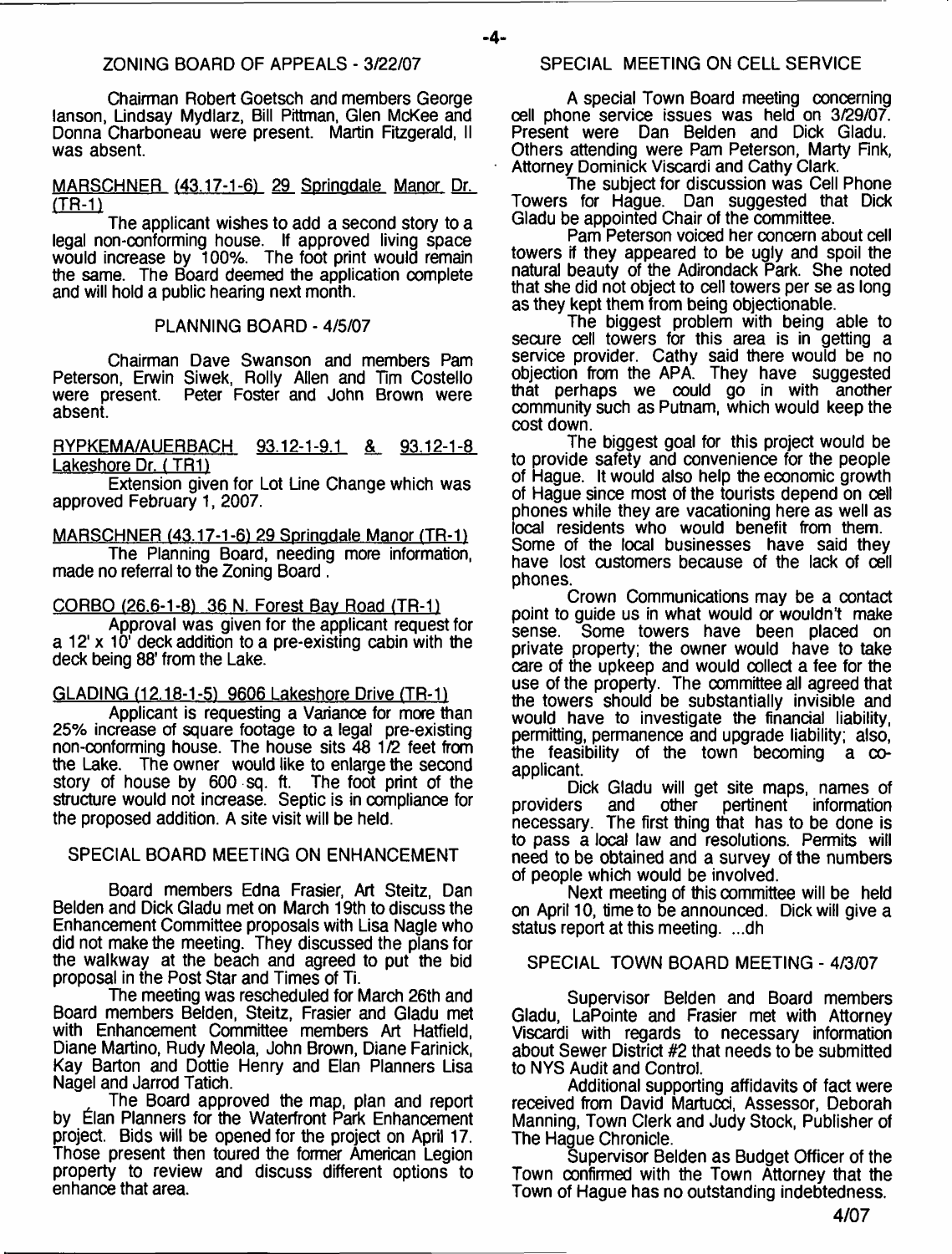#### ZONING BOARD OF APPEALS - 3/22/07

Chairman Robert Goetsch and members George lanson, Lindsay Mydlarz, Bill Pittman, Glen McKee and Donna Charboneau were present. Martin Fitzgerald, II was absent.

#### MARSCHNER (43.17-1-6) 29 Sorinodale Manor Dr. (TR-1)

The applicant wishes to add a second story to a legal non-conforming house. If approved living space would increase by 100%. The foot print would remain the same. The Board deemed the application complete and will hold a public hearing next month.

#### PLANNING BOARD - 4/5/07

Chairman Dave Swanson and members Pam Peterson, Erwin Siwek, Rolly Allen and Tim Costello were present. Peter Foster and John Brown were Peter Foster and John Brown were absent.

RYPKEMA/AUERBACH 93.12-1-9.1 & 93.12-1-8 Lakeshore Dr. ( TR1)

Extension given for Lot Line Change which was approved February 1, 2007.

MARSCHNER (43.17-1-6) 29 Springdale Manor (TR-1) The Planning Board, needing more information, made no referral to the Zoning Board .

CORBO  $(26.6-1-8)$  36 N. Forest Bay Road (TR-1)

Approval was given for the applicant request for a 12' x 10' deck addition to a pre-existing cabin with the deck being 88' from the Lake.

GLADING (12.18-1-51 9606 Lakeshore Drive (TR-1)

Applicant is requesting a Variance for more than 25% increase of square footage to a legal pre-existing non-conforming house. The house sits 48 1/2 feet from the Lake. The owner would like to enlarge the second story of house by 600 sq. ft. The foot print of the structure would not increase. Septic is in compliance for the proposed addition. A site visit will be held.

#### SPECIAL BOARD MEETING ON ENHANCEMENT

Board members Edna Frasier, Art Steitz, Dan Belden and Dick Gladu met on March 19th to discuss the Enhancement Committee proposals with Lisa Nagle who did not make the meeting. They discussed the plans for the walkway at the beach and agreed to put the bid proposal in the Post Star and Times of Ti.

The meeting was rescheduled for March 26th and Board members Belden, Steitz, Frasier and Gladu met with Enhancement Committee members Art Hatfield, Diane Martino, Rudy Meola, John Brown, Diane Farinick, Kay Barton and Dottie Henry and Elan Planners Lisa Nagel and Jarrod Tatich.

The Board approved the map, plan and report by Elan Planners for the Waterfront Park Enhancement project. Bids will be opened for the project on April 17. Those present then toured the former American Legion property to review and discuss different options to enhance that area.

#### SPECIAL MEETING ON CELL SERVICE

A special Town Board meeting concerning cell phone service issues was held on 3/29/07. Present were Dan Belden and Dick Gladu. Others attending were Pam Peterson, Marty Fink, Attorney Dominick Viscardi and Cathy Clark.

The subject for discussion was Cell Phone Towers for Hague. Dan suggested that Dick Gladu be appointed Chair of the committee.

Pam Peterson voiced her concern about cell towers if they appeared to be ugly and spoil the natural beauty of the Adirondack Park. She noted that she did not object to cell towers per se as long as they kept them from being objectionable.

The biggest problem with being able to secure cell towers for this area is in getting a service provider. Cathy said there would be no objection from the APA. They have suggested that perhaps we could go in with another community such as Putnam, which would keep the cost down.

The biggest goal for this project would be to provide safety and convenience for the people of Hague. It would also help the economic growth of Hague since most of the tourists depend on cell phones while they are vacationing here as well as local residents who would benefit from them. Some of the local businesses have said they have lost customers because of the lack of cell phones.

Crown Communications may be a contact point to guide us in what would or wouldn't make<br>sense. Some towers have been placed on Some towers have been placed on private property; the owner would have to take care of the upkeep and would collect a fee for the use of the property. The committee all agreed that the towers should be substantially invisible and would have to investigate the financial liability, permitting, permanence and upgrade liability; also, the feasibility of the town becoming  $a \infty$ applicant.

Dick Gladu will get site maps, names of<br>providers and other pertinent information and other pertinent information necessary. The first thing that has to be done is to pass a local law and resolutions. Permits will need to be obtained and a survey of the numbers of people which would be involved.

Next meeting of this committee will be held on April 10, time to be announced. Dick will give a status report at this meeting. ...dh

#### SPECIAL TOWN BOARD MEETING - 4/3/07

Supervisor Belden and Board members Gladu, LaPointe and Frasier met with Attorney Viscardi with regards to necessary information about Sewer District #2 that needs to be submitted to NYS Audit and Control.

Additional supporting affidavits of fact were received from David Martucci, Assessor, Deborah Manning, Town Clerk and Judy Stock, Publisher of The Hague Chronicle.

Supervisor Belden as Budget Officer of the Town confirmed with the Town Attorney that the Town of Hague has no outstanding indebtedness.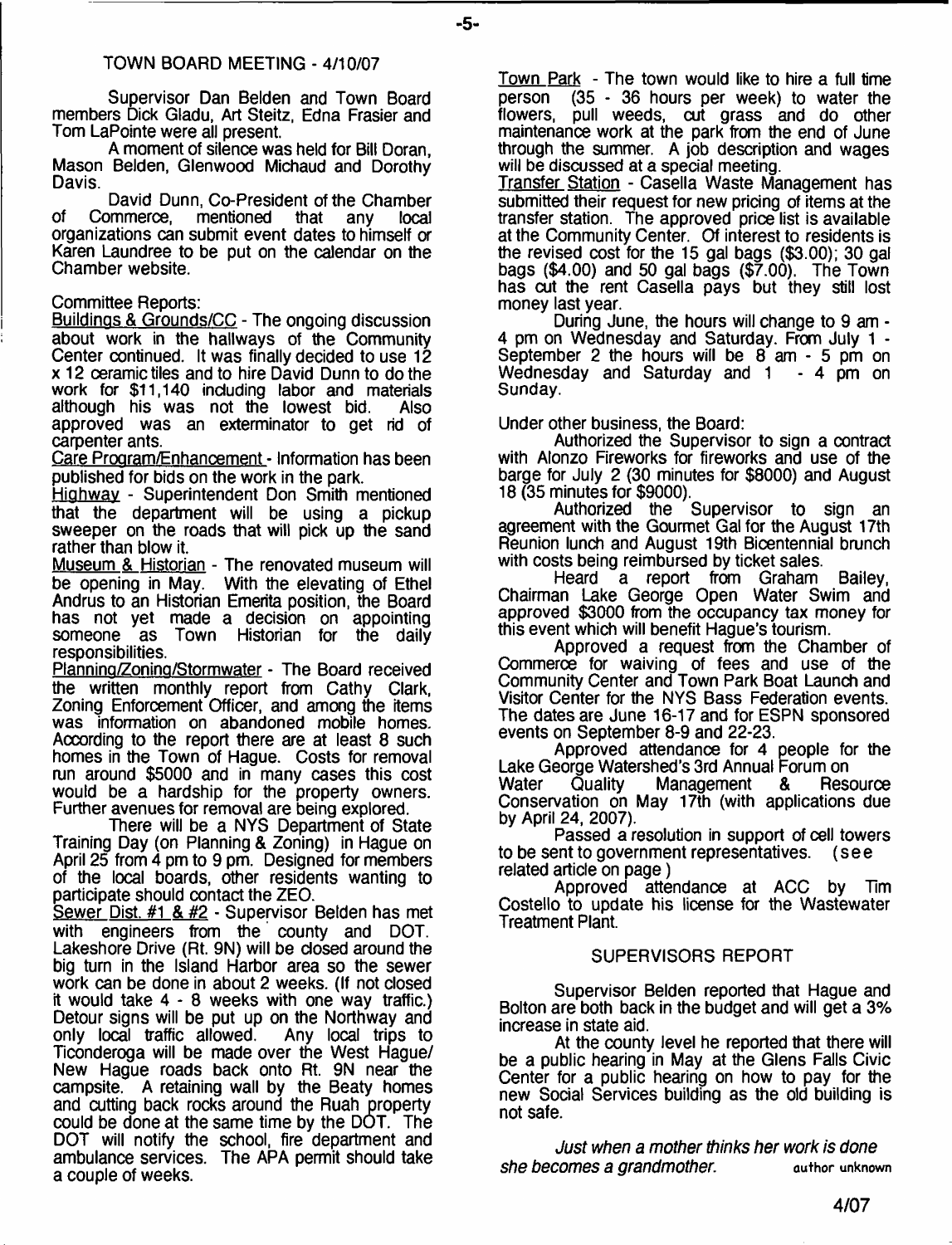#### TOWN BOARD MEETING - 4/10/07

Supervisor Dan Belden and Town Board members Dick Gladu, Art Steitz, Edna Frasier and Tom LaPointe were all present.

A moment of silence was held for Bill Doran, Mason Belden, Glenwood Michaud and Dorothy Davis.

David Dunn, Co-President of the Chamber<br>Commerce. mentioned that any local of Commerce, mentioned that any organizations can submit event dates to himself or Karen Laundree to be put on the calendar on the Chamber website.

#### Committee Reports:

Buildings & Grounds/CC - The ongoing discussion about work in the hallways of the Community Center continued. It was finally decided to use 12 x 12 ceramic tiles and to hire David Dunn to do the work for \$11,140 including labor and materials<br>although his was not the lowest bid. Also although his was not the lowest bid. approved was an exterminator to get rid of carpenter ants.

Care Program/Enhancement - Information has been published for bids on the work in the park.

Highway - Superintendent Don Smith mentioned that the department will be using a pickup sweeper on the roads that will pick up the sand rather than blow it.

Museum & Historian - The renovated museum will be opening in May. With the elevating of Ethel Andrus to an Historian Emerita position, the Board has not yet made a decision on appointing someone as Town Historian for the daily responsibilities.

Plannino/Zonino/Stormwater - The Board received the written monthly report from Cathy Clark, Zoning Enforcement Officer, and among the items was information on abandoned mobile homes. According to the report there are at least 8 such homes in the Town of Hague. Costs for removal run around \$5000 and in many cases this cost would be a hardship for the property owners. Further avenues for removal are being explored.

There will be a NYS Department of State Training Day (on Planning & Zoning) in Hague on April 25 from 4 pm to 9 pm. Designed for members of the local boards, other residents wanting to participate should contact the ZEO.

Sewer Dist. #1 & #2 - Supervisor Belden has met with engineers from the county and DOT. Lakeshore Drive (Rt. 9N) will be closed around the big turn in the Island Harbor area so the sewer work can be done in about 2 weeks. (If not closed it would take 4 - 8 weeks with one way traffic.) Detour signs will be put up on the Northway and only local traffic allowed. Any local trips to only local traffic allowed. Ticonderoga will be made over the West Hague/ New Hague roads back onto Rt. 9N near the campsite. A retaining wall by the Beaty homes and cutting back rocks around the Ruah property could be done at the same time by the DOT. The DOT will notify the school, fire department and ambulance services. The APA permit should take a couple of weeks.

**Town Park** - The town would like to hire a full time nerson  $(35 - 36)$  hours per week) to water the  $(35 - 36$  hours per week) to water the flowers, pull weeds, cut grass and do other maintenance work at the park from the end of June through the summer. A job description and wages will be discussed at a special meeting.

Transfer Station - Casella Waste Management has submitted their request for new pricing of items at the transfer station. The approved price list is available at the Community Center. Of interest to residents is the revised cost for the 15 gal bags (\$3.00); 30 gal bags (\$4.00) and 50 gal bags (\$7.00). The Town has cut the rent Casella pays but they still lost money last year.

During June, the hours will change to 9 am - 4 pm on Wednesday and Saturday. From July 1 - September 2 the hours will be 8 am - 5 pm on Wednesday and Saturday and 1 - 4 pm on Sunday.

#### Under other business, the Board:

Authorized the Supervisor to sign a contract with Alonzo Fireworks for fireworks and use of the barge for July 2 (30 minutes for \$8000) and August 18 (35 minutes for \$9000).

Supervisor to sign an agreement with the Gourmet Gal for the August 17th Reunion lunch and August 19th Bicentennial brunch with costs being reimbursed by ticket sales.<br>Heard a report from Graham

a report from Graham Bailey, Chairman Lake George Open Water Swim and approved \$3000 from the occupancy tax money for this event which will benefit Hague's tourism.

Approved a request from the Chamber of Commerce for waiving of fees and use of the Community Center and Town Park Boat Launch and Visitor Center for the NYS Bass Federation events. The dates are June 16-17 and for ESPN sponsored events on September 8-9 and 22-23.

Approved attendance for 4 people for the Lake George Watershed's 3rd Annual Forum on<br>Water Quality Management & Resource Management Conservation on May 17th (with applications due by April 24, 2007).

Passed a resolution in support of cell towers to be sent to government representatives, (see related article on page)

Approved attendance at ACC by Tim Costello to update his license for the Wastewater Treatment Plant.

#### SUPERVISORS REPORT

Supervisor Belden reported that Hague and Bolton are both back in the budget and will get a 3% increase in state aid.

At the county level he reported that there will be a public hearing in May at the Glens Falls Civic Center for a public hearing on how to pay for the new Social Services building as the old building is not safe.

*Just when a mother thinks her work is done she becomes a grandmother.* **author unknown**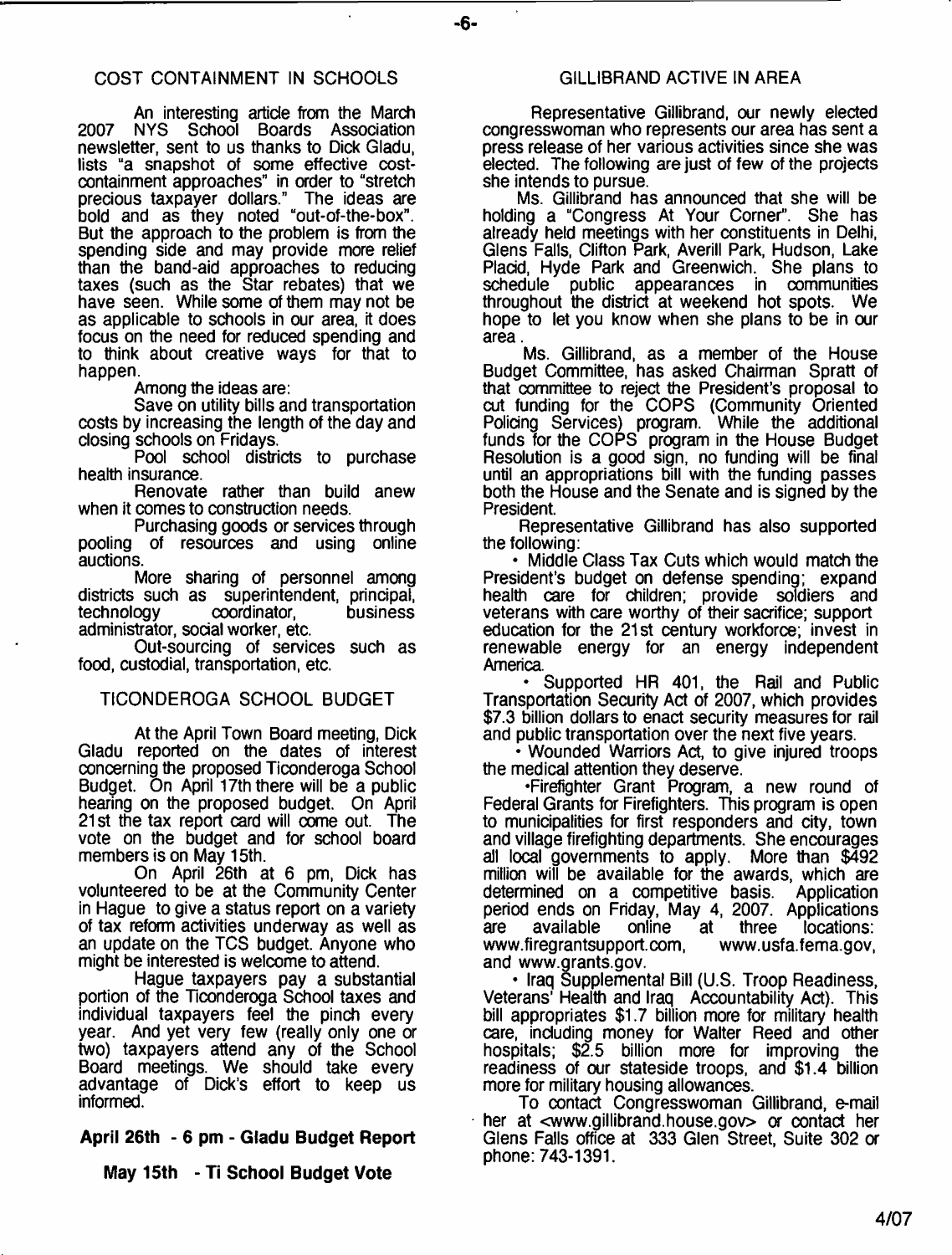### COST CONTAINMENT IN SCHOOLS

An interesting article from the March<br>NYS School Boards Association 2007 NYS School Boards Association newsletter, sent to us thanks to Dick Gladu, lists "a snapshot of some effective costcontainment approaches" in order to "stretch<br>precious taxpayer dollars." The ideas are precious taxpayer dollars." bold and as they noted "out-of-the-box". But the approach to the problem is from the spending side and may provide more relief than the band-aid approaches to reducing taxes (such as the Star rebates) that we have seen. While some of them may not be as applicable to schools in our area, it does focus on the need for reduced spending and to think about creative ways for that to happen.

Among the ideas are:

Save on utility bills and transportation costs by increasing the length of the day and closing schools on Fridays.

Pool school districts to purchase health insurance.

Renovate rather than build anew when it comes to construction needs.

Purchasing goods or services through pooling of resources and using online auctions.

More sharing of personnel among districts such as superintendent, principal,<br>technology coordinator, business coordinator, administrator, social worker, etc.

Out-sourcing of services such as food, custodial, transportation, etc.

#### TICONDEROGA SCHOOL BUDGET

At the April Town Board meeting, Dick Gladu reported on the dates of interest concerning the proposed Ticonderoga School Budget. On April 17th there will be a public hearing on the proposed budget. On April 21 st the tax report card will come out. The vote on the budget and for school board members is on May 15th.

On April 26th at 6 pm, Dick has volunteered to be at the Community Center in Hague to give a status report on a variety of tax reform activities underway as well as an update on the TCS budget. Anyone who might be interested is welcome to attend.

Hague taxpayers pay a substantial portion of the Ticonderoga School taxes and individual taxpayers feel the pinch every year. And yet very few (really only one or two) taxpayers attend any of the School Board meetings. We should take every advantage of Dick's effort to keep us informed.

**April 26th - 6 pm - Gladu Budget Report**

**May 15th - Ti School Budget Vote**

#### GILLIBRAND ACTIVE IN AREA

Representative Gillibrand, our newly elected congresswoman who represents our area has sent a press release of her various activities since she was elected. The following are just of few of the projects she intends to pursue.

Ms. Gillibrand has announced that she will be holding a "Congress At Your Corner". She has already held meetings with her constituents in Delhi, Glens Falls, Clifton Park, Averill Park, Hudson, Lake Placid, Hyde Park and Greenwich. She plans to schedule public appearances in communities throughout the district at weekend hot spots. We hope to let you know when she plans to be in our area.

Ms. Gillibrand, as a member of the House Budget Committee, has asked Chairman Spratt of that committee to reject the President's proposal to cut funding for the COPS (Community Oriented Policing Services) program. While the additional funds for the COPS program in the House Budget Resolution is a good sign, no funding will be final until an appropriations bill with the funding passes both the House and the Senate and is signed by the President.

Representative Gillibrand has also supported the following:

• Middle Class Tax Cuts which would match the President's budget on defense spending; expand health care for children; provide soldiers and veterans with care worthy of their sacrifice; support education for the 21st century workforce; invest in renewable energy for an energy independent America.

• Supported HR 401, the Rail and Public Transportation Security Act of 2007, which provides \$7.3 billion dollars to enact security measures for rail and public transportation over the next five years.

• Wounded Warriors Act, to give injured troops the medical attention they deserve.

•Firefighter Grant Program, a new round of Federal Grants for Firefighters. This program is open to municipalities for first responders and city, town and village firefighting departments. She encourages all local governments to apply. More than \$492 million will be available for the awards, which are determined on a competitive basis. Application period ends on Friday, May 4, 2007. Applications<br>are available online at three locations: are available online at three locations: www.firegrantsupport.com, www.usfa.fema.gov, and [www.grants.gov.](http://www.grants.gov)

• Iraq Supplemental Bill (U.S. Troop Readiness, Veterans' Health and Iraq Accountability Act). This bill appropriates \$1.7 billion more for military health care, including money for Walter Reed and other hospitals; \$2.5 billion more for improving the readiness of our stateside troops, and \$1.4 billion more for military housing allowances.

To contact Congresswoman Gillibrand, e-mail her at <[www.gillibrand.house.gov](http://www.gillibrand.house.gov)> or contact her Glens Falls office at 333 Glen Street, Suite 302 a phone: 743-1391.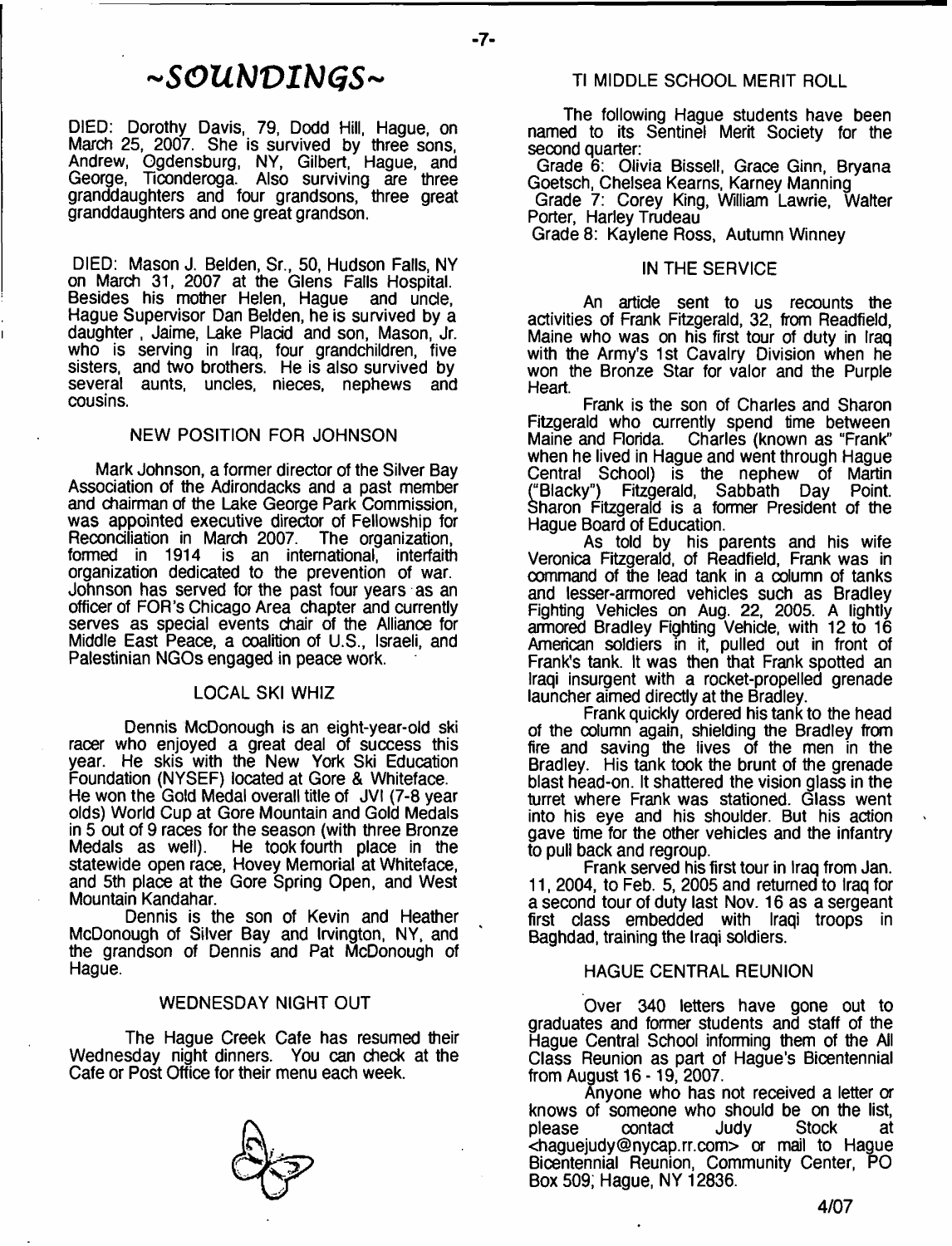# ~SOUNDINGS~

DIED: Dorothy Davis, 79, Dodd Hill, Hague, on March 25, 2007. She is survived by three sons, Andrew, Ogdensburg, NY, Gilbert, Hague, and George, Ticonderoga. Also surviving are three granddaughters and four grandsons, three great granddaughters and one great grandson.

DIED: Mason J. Belden, Sr., 50, Hudson Falls, NY on March 31, 2007 at the Glens Falls Hospital. Besides his mother Helen, Hague and unde, Hague Supervisor Dan Belden, he is survived by a daughter, Jaime, Lake Placid and son, Mason, Jr. who is serving in Iraq, four grandchildren, five sisters, and two brothers. He is also survived by several aunts, uncles, nieces, nephews and cousins.

#### NEW POSITION FOR JOHNSON

Mark Johnson, a former director of the Silver Bay Association of the Adirondacks and a past member and chairman of the Lake George Park Commission, was appointed executive director of Fellowship for Reconciliation in March 2007. The organization, formed in 1914 is an international, interfaith organization dedicated to the prevention of war. Johnson has served for the past four years as an officer of FOR's Chicago Area chapter and currently serves as special events chair of the Alliance for Middle East Peace, a coalition of U.S., Israeli, and Palestinian NGOs engaged in peace work.

#### LOCAL SKI WHIZ

Dennis McDonough is an eight-year-old ski racer who enjoyed a great deal of success this year. He skis with the New York Ski Education Foundation (NYSEF) located at Gore & Whiteface. He won the Gold Medal overall title of JVI (7-8 year olds) World Cup at Gore Mountain and Gold Medals in 5 out of 9 races for the season (with three Bronze Medals as well). He took fourth place in the statewide open race, Hovey Memorial at Whiteface, and 5th place at the Gore Spring Open, and West Mountain Kandahar.

Dennis is the son of Kevin and Heather McDonough of Silver Bay and Irvington, NY, and the grandson of Dennis and Pat McDonough of Hague.

#### WEDNESDAY NIGHT OUT

The Hague Creek Cafe has resumed their Wednesday night dinners. You can check at the Cafe or Post Office for their menu each week.

- **7**-

#### TI MIDDLE SCHOOL MERIT ROLL

The following Hague students have been named to its Sentinel Merit Society for the second quarter:

Grade 6: Olivia Bissell, Grace Ginn, Bryana Goetsch, Chelsea Kearns, Karney Manning

Grade 7: Corey King, William Lawrie, Walter Porter, Harley Trudeau

Grade 8: Kaylene Ross, Autumn Winney

#### IN THE SERVICE

An article sent to us recounts the activities of Frank Fitzgerald, 32, from Readfield, Maine who was on his first tour of duty in Iraq with the Army's 1st Cavalry Division when he won the Bronze Star for valor and the Purple Heart.

Frank is the son of Charles and Sharon Fitzgerald who currently spend time between<br>Maine and Florida. Charles (known as "Frank" Charles (known as "Frank" when he lived in Hague and went through Hague Central School) is the nephew of Martin ("Blacky") Fitzgerald, Sabbath Day Point. Sharon Fitzgerald is a former President of the Hague Board of Education.

As told by his parents and his wife Veronica Fitzgerald, of Readfield, Frank was in command of the lead tank in a column of tanks and lesser-armored vehicles such as Bradley Fighting Vehicles on Aug. 22, 2005. A lightly armored Bradley Fighting Vehicle, with 12 to 16 American soldiers in it, pulled out in front of Frank's tank. It was then that Frank spotted an Iraqi insurgent with a rocket-propelled grenade launcher aimed directly at the Bradley.

Frank quickly ordered his tank to the head of the column again, shielding the Bradley from fire and saving the lives of the men in the Bradley. His tank took the brunt of the grenade blast head-on. It shattered the vision glass in the turret where Frank was stationed. Glass went into his eye and his shoulder. But his action gave time for the other vehicles and the infantry to pull back and regroup.

Frank served his first tour in Iraq from Jan. 11, 2004, to Feb. 5, 2005 and returned to Iraq for a second tour of duty last Nov. 16 as a sergeant first class embedded with Iraqi troops in Baghdad, training the Iraqi soldiers.

#### HAGUE CENTRAL REUNION

Over 340 letters have gone out to graduates and former students and staff of the Hague Central School informing them of the All Class Reunion as part of Hague's Bicentennial from August 16- 19, 2007.

Anyone who has not received a letter or knows of someone who should be on the list,<br>please contact Judy Stock at please contact Judy Stock at <[haguejudy@nycap.rr.com>](mailto:haguejudy@nycap.rr.com) or mail to Hague Bicentennial Reunion, Community Center, PO Box 509; Hague, NY 12836.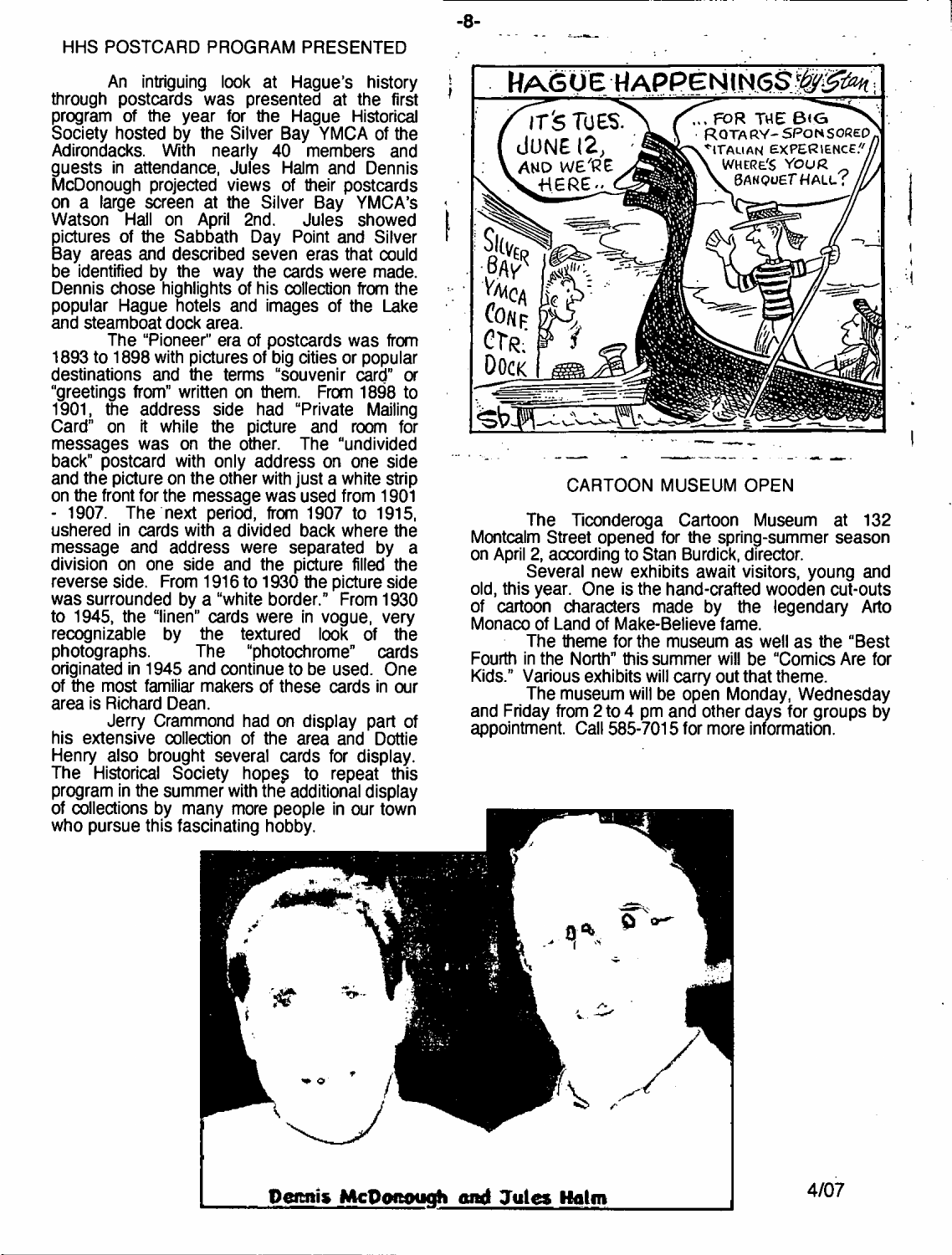An intriguing look at Hague's history through postcards was presented at the first program of the year for the Hague Historical Society hosted by the Silver Bay YMCA of the Adirondacks. With nearly 40 members and guests in attendance, Jules Halm and Dennis McDonough projected views of their postcards on a large screen at the Silver Bay YMCA's<br>Watson Hall on April 2nd, Jules showed Watson Hall on April 2nd. pictures of the Sabbath Day Point and Silver Bay areas and described seven eras that could be identified by the way the cards were made. Dennis chose highlights of his collection from the popular Hague hotels and images of the Lake and steamboat dock area.

The "Pioneer" era of postcards was from 1893 to 1898 with pictures of big cities or popular destinations and the terms "souvenir card" or "greetings from" written on them. From 1898 to 1901, the address side had "Private Mailing Card" on it while the picture and room for messages was on the other. The "undivided back" postcard with only address on one side and the picture on the other with just a white strip on the front for the message was used from 1901 - 1907. The next period, from 1907 to 1915, ushered in cards with a divided back where the message and address were separated by a division on one side and the picture filled the reverse side. From 1916 to 1930 the picture side was surrounded by a "white border." From 1930 to 1945, the "linen" cards were in vogue, very recognizable by the textured look of the photographs. The "photochrome" cards originated in 1945 and continue to be used. One of the most familiar makers of these cards in our area is Richard Dean.

Jerry Crammond had on display part of his extensive collection of the area and Dottie Henry also brought several cards for display. The Historical Society hopeg to repeat this program in the summer with the additional display of collections by many more people in our town who pursue this fascinating hobby.



#### CARTOON MUSEUM OPEN

The Ticonderoga Cartoon Museum at 132 Montcalm Street opened for the spring-summer season on April 2, according to Stan Burdick, director.

Several new exhibits await visitors, young and old, this year. One is the hand-crafted wooden cut-outs of cartoon characters made by the legendary Arto Monaco of Land of Make-Believe fame.

The theme for the museum as well as the "Best Fourth in the North" this summer will be "Comics Are for Kids." Various exhibits will carry out that theme.

The museum will be open Monday, Wednesday and Friday from 2 to 4 pm and other days for groups by appointment. Call 585-7015 for more information.



- **8**-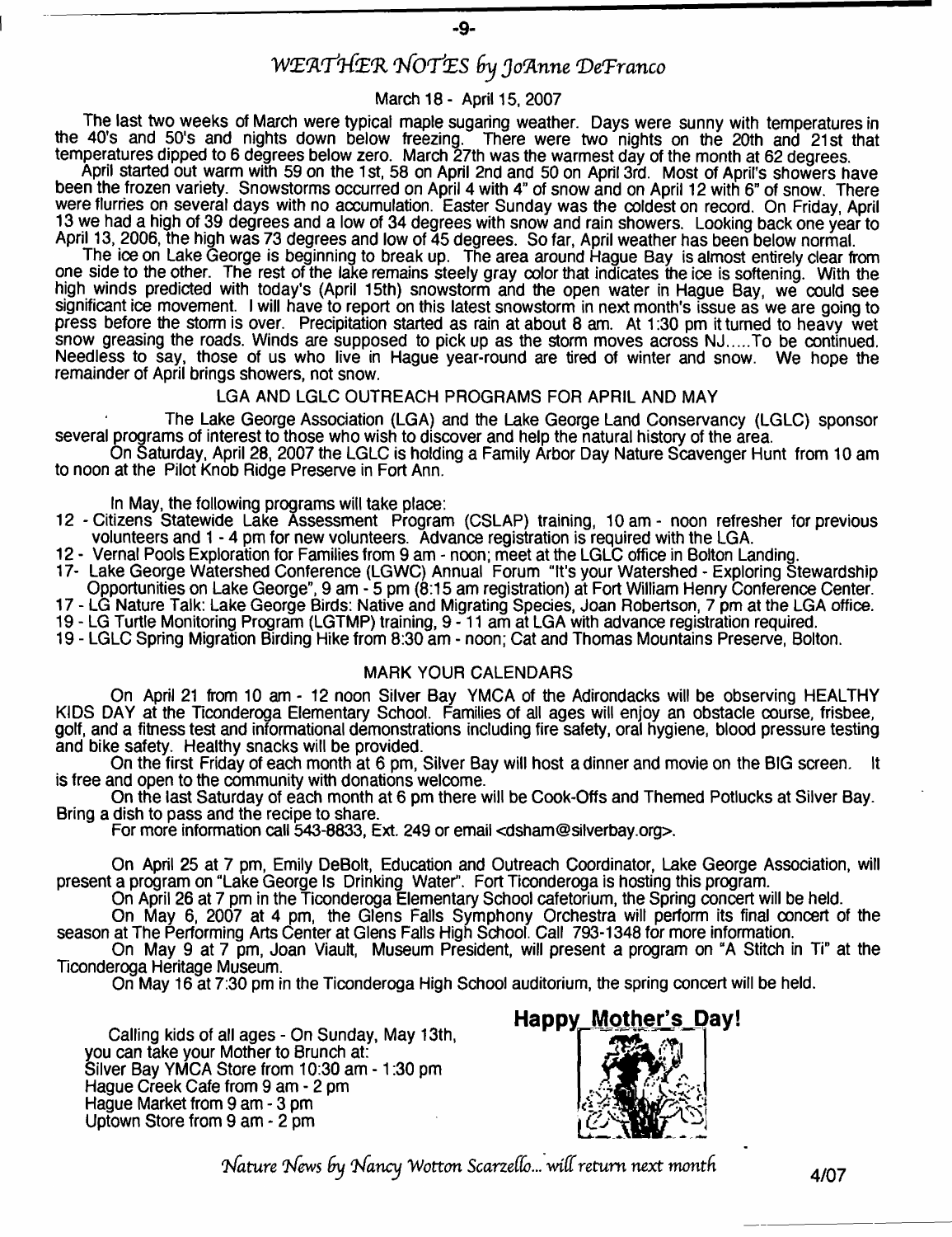# *W(EftT>i]-C(E'R rNOrf'ZS Joflnne 'DeTranco*

#### March 18- April 15, 2007

The last two weeks of March were typical maple sugaring weather. Days were sunny with temperatures in the 40's and 50's and nights down below freezing. There were two nights on the 20th and 21st that temperatures dipped to 6 degrees below zero. March 27th was the warmest day of the month at 62 degrees.

April started out warm with 59 on the 1st, 58 on April 2nd and 50 on April 3rd. Most of April's showers have been the frozen variety. Snowstorms occurred on April 4 with 4" of snow and on April 12 with 6" of snow. There were flurries on several days with no accumulation. Easter Sunday was the coldest on record. On Friday, April 13 we had a high of 39 degrees and a low of 34 degrees with snow and rain showers. Looking back one year to April 13, 2006, the high was 73 degrees and low of 45 degrees. So far, April weather has been below normal.

The ice on Lake George is beginning to break up. The area around Hague Bay is almost entirely dear from one side to the other. The rest of the lake remains steely gray color that indicates the ice is softening. With the high winds predicted with today's (April 15th) snowstorm and the open water in Hague Bay, we could see significant ice movement. I will have to report on this latest snowstorm in next month's issue as we are going to press before the storm is over. Precipitation started as rain at about 8 am. At 1:30 pm it turned to heavy wet snow greasing the roads. Winds are supposed to pick up as the storm moves across NJ....To be continued. Needless to say, those of us who live in Hague year-round are tired of winter and snow. We hope the remainder of April brings showers, not snow.

#### LGA AND LGLC OUTREACH PROGRAMS FOR APRIL AND MAY

The Lake George Assodation (LGA) and the Lake George Land Conservancy (LGLC) sponsor several programs of interest to those who wish to discover and help the natural history of the area.

On Saturday, April 28, 2007 the LGLC is holding a Family Arbor Day Nature Scavenger Hunt from 10 am to noon at the Pilot Knob Ridge Preserve in Fort Ann.

In May, the following programs will take place:

- 12 Citizens Statewide Lake Assessment Program (CSLAP) training, 10am- noon refresher for previous volunteers and 1 - 4 pm for new volunteers. Advance registration is required with the LGA.
- 12 Vernal Pools Exploration for Families from 9 am noon; meet at the LGLC office in Bolton Landing.
- 17- Lake George Watershed Conference (LGWC) Annual Forum "It's your Watershed Exploring Stewardship Opportunities on Lake George", 9 am - 5 pm (8:15 am registration) at Fort William Henry Conference Center.
- 17 LG Nature Talk: Lake George Birds: Native and Migrating Spedes, Joan Robertson, 7 pm at the LGA office.

19 - LG Turtle Monitoring Program (LGTMP) training, 9 -11 am at LGA with advance registration required.

19 - LGLC Spring Migration Birding Hike from 8:30 am - noon; Cat and Thomas Mountains Preserve, Bolton.

#### MARK YOUR CALENDARS

On April 21 from 10 am - 12 noon Silver Bay YMCA of the Adirondacks will be observing HEALTHY KIDS DAY at the Ticonderoga Elementary School. Families of all ages will enjoy an obstacle course, frisbee, golf, and a fitness test and informational demonstrations including fire safety, oral hygiene, blood pressure testing and bike safety. Healthy snacks will be provided.

On the first Friday of each month at 6 pm, Silver Bay will host a dinner and movie on the BIG screen. It is free and open to the community with donations welcome.

On the last Saturday of each month at 6 pm there will be Cook-Offs and Themed Potlucks at Silver Bay. Bring a dish to pass and the recipe to share.

For more information call 543-8833, Ext. 249 or email [<dsham@silverbay.org>](mailto:dsham@silverbay.org).

On April 25 at 7 pm, Emily DeBolt, Education and Outreach Coordinator, Lake George Association, will present a program on "Lake George Is Drinking Water". Fort Ticonderoga is hosting this program.

On April 26 at 7 pm in the Ticonderoga Elementary School cafetorium, the Spring concert will be held. On May 6, 2007 at 4 pm, the Glens Falls Symphony Orchestra will perform its final concert of the

season at The Performing Arts Center at Glens Falls High School. Call 793-1348 for more information.

On May 9 at 7 pm, Joan Viault, Museum President, will present a program on "A Stitch in Ti" at the Ticonderoga Heritage Museum.

On May 16 at 7:30 pm in the Ticonderoga High School auditorium, the spring concert will be held.

Calling kids of all ages - On Sunday, May 13th you can take your Mother to Brunch at: Silver Bay YMCA Store from 10:30 am - 1 :30 pm Hague Creek Cafe from 9 am - 2 pm Hague Market from 9 am - 3 pm Uptown Store from 9 am - 2 pm

### Happy\_Mother's\_Day!



*Mature l^fews Sy 'bfancy Wotton Scarzeffo... m((return next month* **4/07**